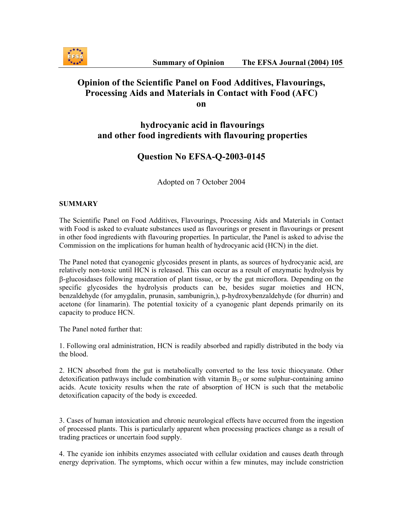

## **Opinion of the Scientific Panel on Food Additives, Flavourings, Processing Aids and Materials in Contact with Food (AFC) on**

## **hydrocyanic acid in flavourings and other food ingredients with flavouring properties**

# **Question No EFSA-Q-2003-0145**

Adopted on 7 October 2004

### **SUMMARY**

The Scientific Panel on Food Additives, Flavourings, Processing Aids and Materials in Contact with Food is asked to evaluate substances used as flavourings or present in flavourings or present in other food ingredients with flavouring properties. In particular, the Panel is asked to advise the Commission on the implications for human health of hydrocyanic acid (HCN) in the diet.

The Panel noted that cyanogenic glycosides present in plants, as sources of hydrocyanic acid, are relatively non-toxic until HCN is released. This can occur as a result of enzymatic hydrolysis by β-glucosidases following maceration of plant tissue, or by the gut microflora. Depending on the specific glycosides the hydrolysis products can be, besides sugar moieties and HCN, benzaldehyde (for amygdalin, prunasin, sambunigrin,), p-hydroxybenzaldehyde (for dhurrin) and acetone (for linamarin). The potential toxicity of a cyanogenic plant depends primarily on its capacity to produce HCN.

The Panel noted further that:

1. Following oral administration, HCN is readily absorbed and rapidly distributed in the body via the blood.

2. HCN absorbed from the gut is metabolically converted to the less toxic thiocyanate. Other detoxification pathways include combination with vitamin  $B_{12}$  or some sulphur-containing amino acids. Acute toxicity results when the rate of absorption of HCN is such that the metabolic detoxification capacity of the body is exceeded.

3. Cases of human intoxication and chronic neurological effects have occurred from the ingestion of processed plants. This is particularly apparent when processing practices change as a result of trading practices or uncertain food supply.

4. The cyanide ion inhibits enzymes associated with cellular oxidation and causes death through energy deprivation. The symptoms, which occur within a few minutes, may include constriction